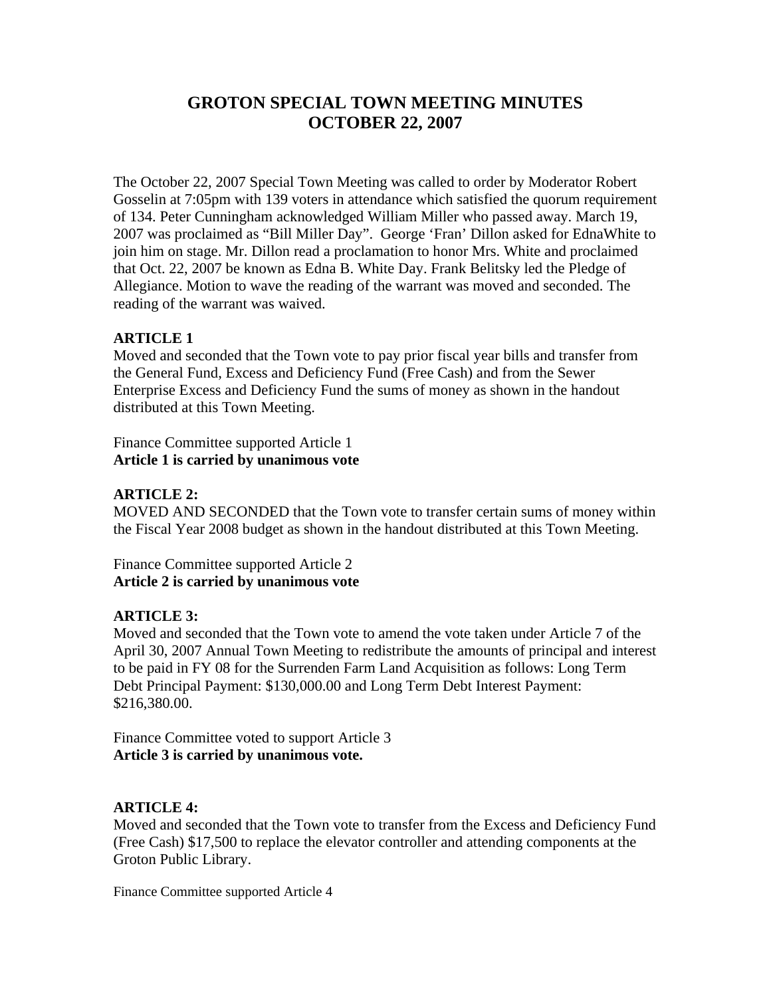# **GROTON SPECIAL TOWN MEETING MINUTES OCTOBER 22, 2007**

The October 22, 2007 Special Town Meeting was called to order by Moderator Robert Gosselin at 7:05pm with 139 voters in attendance which satisfied the quorum requirement of 134. Peter Cunningham acknowledged William Miller who passed away. March 19, 2007 was proclaimed as "Bill Miller Day". George 'Fran' Dillon asked for EdnaWhite to join him on stage. Mr. Dillon read a proclamation to honor Mrs. White and proclaimed that Oct. 22, 2007 be known as Edna B. White Day. Frank Belitsky led the Pledge of Allegiance. Motion to wave the reading of the warrant was moved and seconded. The reading of the warrant was waived.

### **ARTICLE 1**

Moved and seconded that the Town vote to pay prior fiscal year bills and transfer from the General Fund, Excess and Deficiency Fund (Free Cash) and from the Sewer Enterprise Excess and Deficiency Fund the sums of money as shown in the handout distributed at this Town Meeting.

Finance Committee supported Article 1 **Article 1 is carried by unanimous vote**

### **ARTICLE 2:**

MOVED AND SECONDED that the Town vote to transfer certain sums of money within the Fiscal Year 2008 budget as shown in the handout distributed at this Town Meeting.

Finance Committee supported Article 2 **Article 2 is carried by unanimous vote**

### **ARTICLE 3:**

Moved and seconded that the Town vote to amend the vote taken under Article 7 of the April 30, 2007 Annual Town Meeting to redistribute the amounts of principal and interest to be paid in FY 08 for the Surrenden Farm Land Acquisition as follows: Long Term Debt Principal Payment: \$130,000.00 and Long Term Debt Interest Payment:  $$216,380.00.$ 

Finance Committee voted to support Article 3 **Article 3 is carried by unanimous vote.**

### **ARTICLE 4:**

Moved and seconded that the Town vote to transfer from the Excess and Deficiency Fund (Free Cash) \$17,500 to replace the elevator controller and attending components at the Groton Public Library.

Finance Committee supported Article 4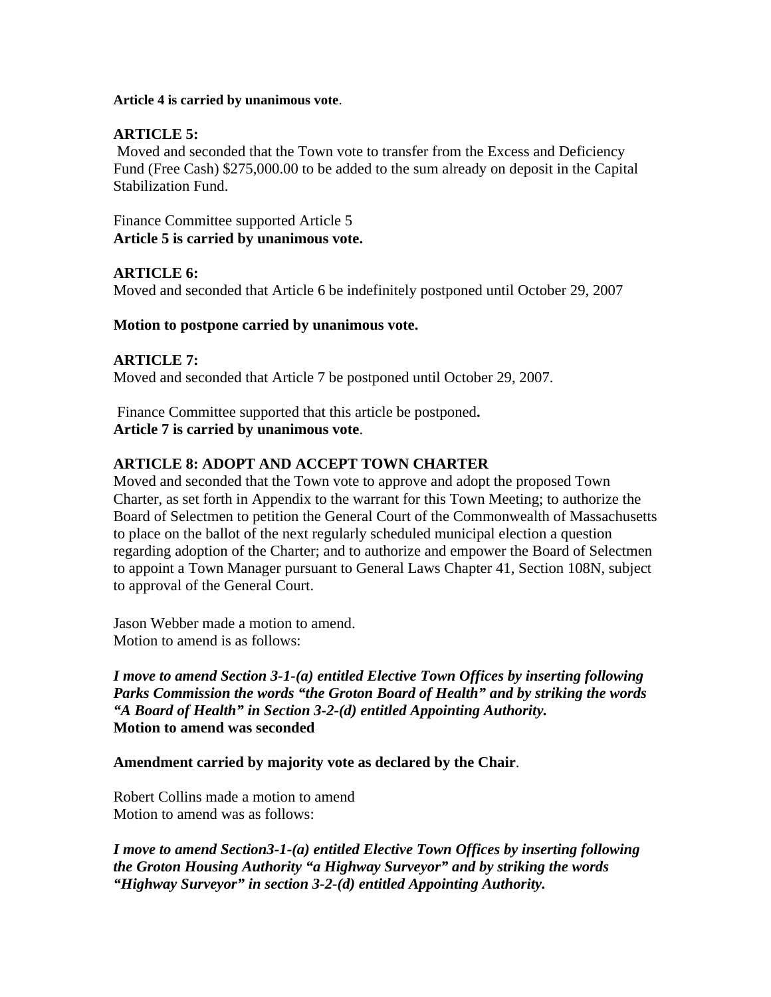**Article 4 is carried by unanimous vote**.

### **ARTICLE 5:**

Moved and seconded that the Town vote to transfer from the Excess and Deficiency Fund (Free Cash) \$275,000.00 to be added to the sum already on deposit in the Capital Stabilization Fund.

Finance Committee supported Article 5 **Article 5 is carried by unanimous vote.**

# **ARTICLE 6:**

Moved and seconded that Article 6 be indefinitely postponed until October 29, 2007

### **Motion to postpone carried by unanimous vote.**

# **ARTICLE 7:**

Moved and seconded that Article 7 be postponed until October 29, 2007.

Finance Committee supported that this article be postponed**. Article 7 is carried by unanimous vote**.

# **ARTICLE 8: ADOPT AND ACCEPT TOWN CHARTER**

Moved and seconded that the Town vote to approve and adopt the proposed Town Charter, as set forth in Appendix to the warrant for this Town Meeting; to authorize the Board of Selectmen to petition the General Court of the Commonwealth of Massachusetts to place on the ballot of the next regularly scheduled municipal election a question regarding adoption of the Charter; and to authorize and empower the Board of Selectmen to appoint a Town Manager pursuant to General Laws Chapter 41, Section 108N, subject to approval of the General Court.

Jason Webber made a motion to amend. Motion to amend is as follows:

*I move to amend Section 3-1-(a) entitled Elective Town Offices by inserting following Parks Commission the words "the Groton Board of Health" and by striking the words "A Board of Health" in Section 3-2-(d) entitled Appointing Authority.* **Motion to amend was seconded**

**Amendment carried by majority vote as declared by the Chair**.

Robert Collins made a motion to amend Motion to amend was as follows:

*I move to amend Section3-1-(a) entitled Elective Town Offices by inserting following the Groton Housing Authority "a Highway Surveyor" and by striking the words "Highway Surveyor" in section 3-2-(d) entitled Appointing Authority.*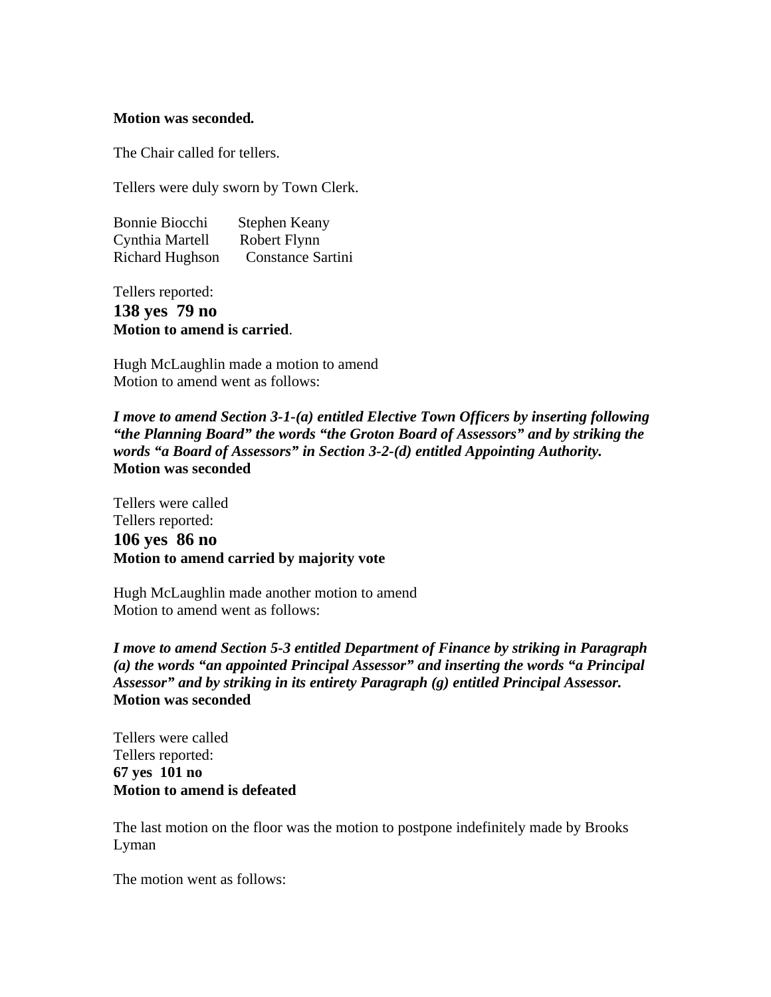#### **Motion was seconded***.*

The Chair called for tellers.

Tellers were duly sworn by Town Clerk.

| Bonnie Biocchi                                                                                                                     | $\mathbf{r}$<br>Stephen Keany<br>the contract of the contract of the contract of the |  |
|------------------------------------------------------------------------------------------------------------------------------------|--------------------------------------------------------------------------------------|--|
| Cynthia Martell<br>the contract of the contract of the contract of the contract of the contract of the contract of the contract of | Robert Flynn                                                                         |  |
| Richard Hughson                                                                                                                    | Constance Sartini                                                                    |  |

Tellers reported:

**138 yes 79 no Motion to amend is carried**.

Hugh McLaughlin made a motion to amend Motion to amend went as follows:

*I move to amend Section 3-1-(a) entitled Elective Town Officers by inserting following "the Planning Board" the words "the Groton Board of Assessors" and by striking the words "a Board of Assessors" in Section 3-2-(d) entitled Appointing Authority.* **Motion was seconded**

Tellers were called Tellers reported: **106 yes 86 no Motion to amend carried by majority vote**

Hugh McLaughlin made another motion to amend Motion to amend went as follows:

*I move to amend Section 5-3 entitled Department of Finance by striking in Paragraph (a) the words "an appointed Principal Assessor" and inserting the words "a Principal Assessor" and by striking in its entirety Paragraph (g) entitled Principal Assessor.* **Motion was seconded**

Tellers were called Tellers reported: **67 yes 101 no Motion to amend is defeated**

The last motion on the floor was the motion to postpone indefinitely made by Brooks Lyman

The motion went as follows: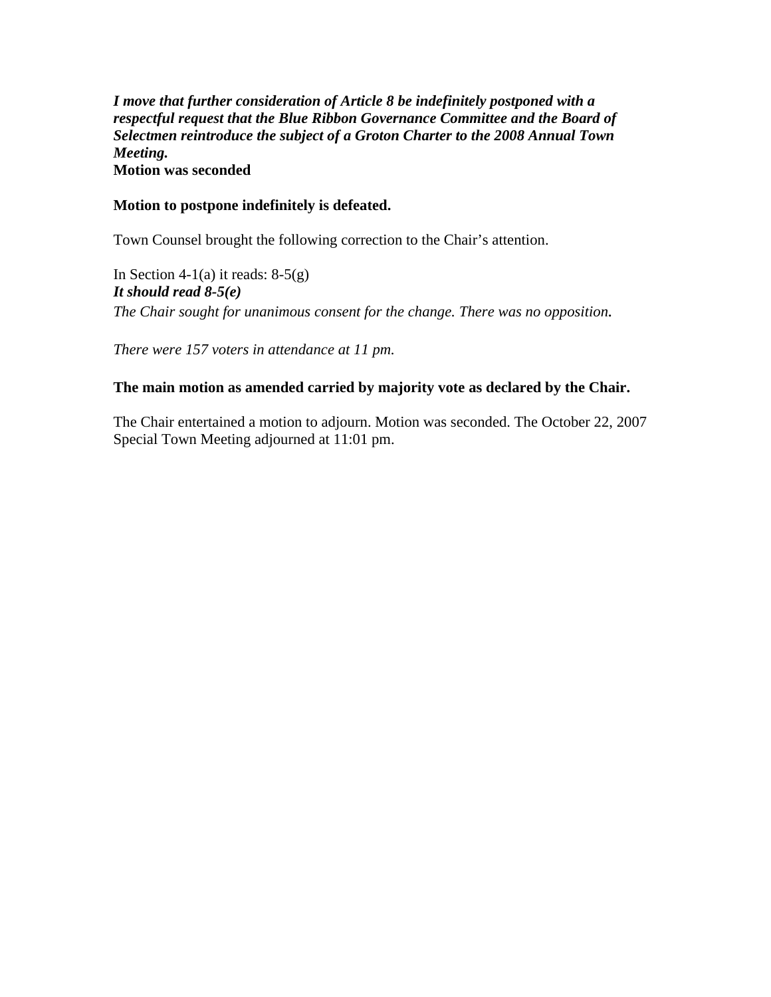*I move that further consideration of Article 8 be indefinitely postponed with a respectful request that the Blue Ribbon Governance Committee and the Board of Selectmen reintroduce the subject of a Groton Charter to the 2008 Annual Town Meeting.* **Motion was seconded**

#### **Motion to postpone indefinitely is defeated.**

Town Counsel brought the following correction to the Chair's attention.

In Section 4-1(a) it reads:  $8-5(g)$ *It should read 8-5(e) The Chair sought for unanimous consent for the change. There was no opposition.*

*There were 157 voters in attendance at 11 pm.*

#### **The main motion as amended carried by majority vote as declared by the Chair.**

The Chair entertained a motion to adjourn. Motion was seconded. The October 22, 2007 Special Town Meeting adjourned at 11:01 pm.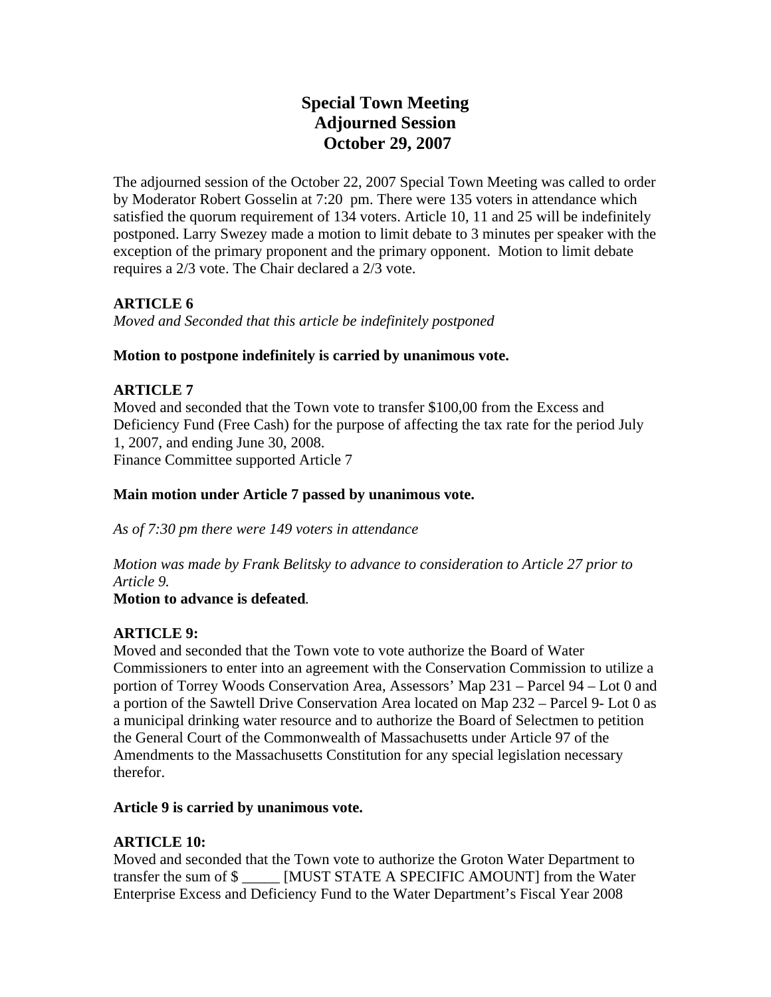# **Special Town Meeting Adjourned Session October 29, 2007**

The adjourned session of the October 22, 2007 Special Town Meeting was called to order by Moderator Robert Gosselin at 7:20 pm. There were 135 voters in attendance which satisfied the quorum requirement of 134 voters. Article 10, 11 and 25 will be indefinitely postponed. Larry Swezey made a motion to limit debate to 3 minutes per speaker with the exception of the primary proponent and the primary opponent. Motion to limit debate requires a 2/3 vote. The Chair declared a 2/3 vote.

# **ARTICLE 6**

*Moved and Seconded that this article be indefinitely postponed* 

### **Motion to postpone indefinitely is carried by unanimous vote.**

### **ARTICLE 7**

Moved and seconded that the Town vote to transfer \$100,00 from the Excess and Deficiency Fund (Free Cash) for the purpose of affecting the tax rate for the period July 1, 2007, and ending June 30, 2008. Finance Committee supported Article 7

### **Main motion under Article 7 passed by unanimous vote.**

*As of 7:30 pm there were 149 voters in attendance*

*Motion was made by Frank Belitsky to advance to consideration to Article 27 prior to Article 9.* 

### **Motion to advance is defeated***.*

# **ARTICLE 9:**

Moved and seconded that the Town vote to vote authorize the Board of Water Commissioners to enter into an agreement with the Conservation Commission to utilize a portion of Torrey Woods Conservation Area, Assessors' Map 231 – Parcel 94 – Lot 0 and a portion of the Sawtell Drive Conservation Area located on Map 232 – Parcel 9- Lot 0 as a municipal drinking water resource and to authorize the Board of Selectmen to petition the General Court of the Commonwealth of Massachusetts under Article 97 of the Amendments to the Massachusetts Constitution for any special legislation necessary therefor.

#### **Article 9 is carried by unanimous vote.**

### **ARTICLE 10:**

Moved and seconded that the Town vote to authorize the Groton Water Department to transfer the sum of \$ \_\_\_\_\_ [MUST STATE A SPECIFIC AMOUNT] from the Water Enterprise Excess and Deficiency Fund to the Water Department's Fiscal Year 2008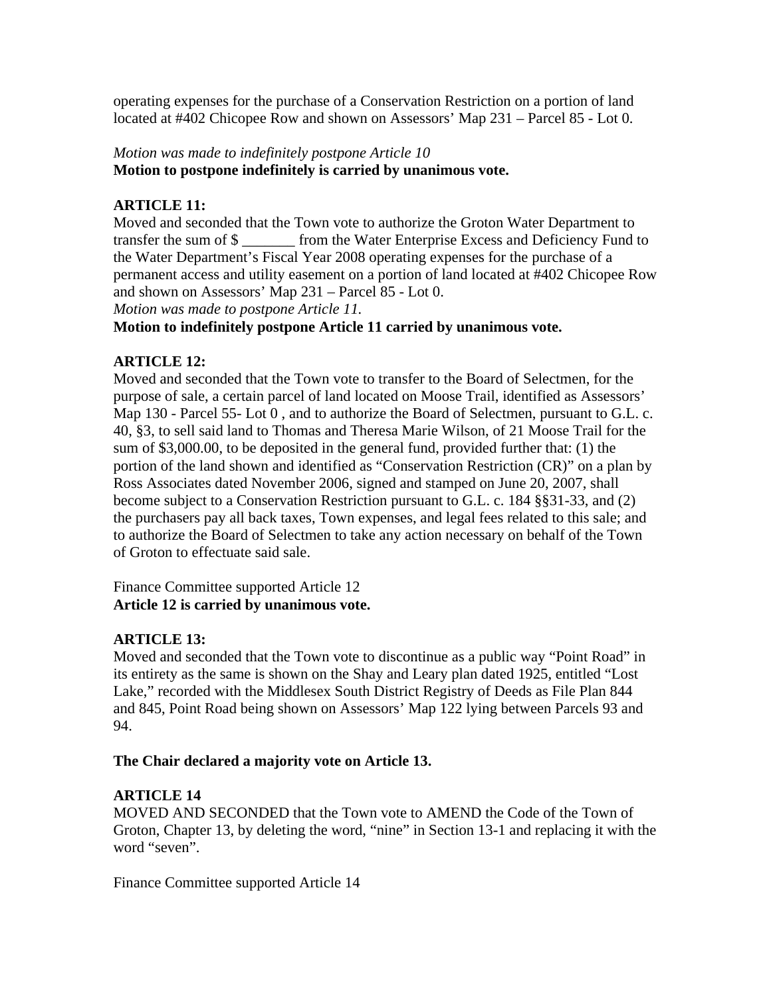operating expenses for the purchase of a Conservation Restriction on a portion of land located at #402 Chicopee Row and shown on Assessors' Map 231 – Parcel 85 - Lot 0.

### *Motion was made to indefinitely postpone Article 10* **Motion to postpone indefinitely is carried by unanimous vote.**

### **ARTICLE 11:**

Moved and seconded that the Town vote to authorize the Groton Water Department to transfer the sum of \$ \_\_\_\_\_\_\_ from the Water Enterprise Excess and Deficiency Fund to the Water Department's Fiscal Year 2008 operating expenses for the purchase of a permanent access and utility easement on a portion of land located at #402 Chicopee Row and shown on Assessors' Map 231 – Parcel 85 - Lot 0.

*Motion was made to postpone Article 11.*

#### **Motion to indefinitely postpone Article 11 carried by unanimous vote.**

### **ARTICLE 12:**

Moved and seconded that the Town vote to transfer to the Board of Selectmen, for the purpose of sale, a certain parcel of land located on Moose Trail, identified as Assessors' Map 130 - Parcel 55- Lot 0 , and to authorize the Board of Selectmen, pursuant to G.L. c. 40, §3, to sell said land to Thomas and Theresa Marie Wilson, of 21 Moose Trail for the sum of \$3,000.00, to be deposited in the general fund, provided further that: (1) the portion of the land shown and identified as "Conservation Restriction (CR)" on a plan by Ross Associates dated November 2006, signed and stamped on June 20, 2007, shall become subject to a Conservation Restriction pursuant to G.L. c. 184 §§31-33, and (2) the purchasers pay all back taxes, Town expenses, and legal fees related to this sale; and to authorize the Board of Selectmen to take any action necessary on behalf of the Town of Groton to effectuate said sale.

Finance Committee supported Article 12 **Article 12 is carried by unanimous vote.**

#### **ARTICLE 13:**

Moved and seconded that the Town vote to discontinue as a public way "Point Road" in its entirety as the same is shown on the Shay and Leary plan dated 1925, entitled "Lost Lake," recorded with the Middlesex South District Registry of Deeds as File Plan 844 and 845, Point Road being shown on Assessors' Map 122 lying between Parcels 93 and 94.

#### **The Chair declared a majority vote on Article 13.**

### **ARTICLE 14**

MOVED AND SECONDED that the Town vote to AMEND the Code of the Town of Groton, Chapter 13, by deleting the word, "nine" in Section 13-1 and replacing it with the word "seven".

Finance Committee supported Article 14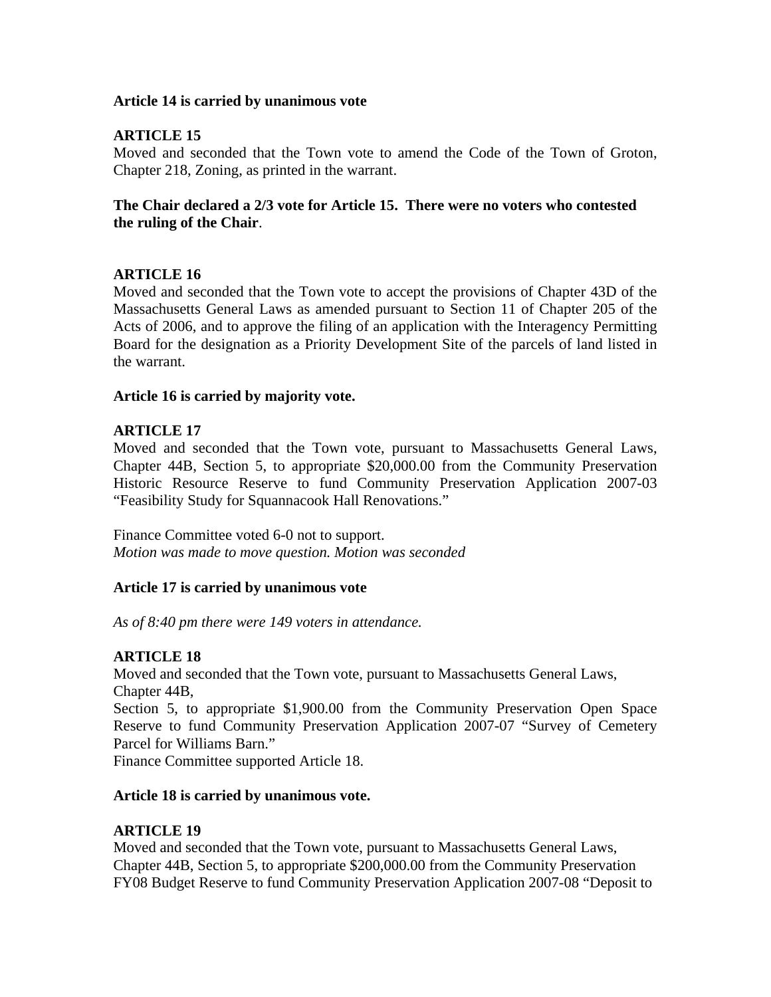#### **Article 14 is carried by unanimous vote**

### **ARTICLE 15**

Moved and seconded that the Town vote to amend the Code of the Town of Groton, Chapter 218, Zoning, as printed in the warrant.

### **The Chair declared a 2/3 vote for Article 15. There were no voters who contested the ruling of the Chair**.

### **ARTICLE 16**

Moved and seconded that the Town vote to accept the provisions of Chapter 43D of the Massachusetts General Laws as amended pursuant to Section 11 of Chapter 205 of the Acts of 2006, and to approve the filing of an application with the Interagency Permitting Board for the designation as a Priority Development Site of the parcels of land listed in the warrant.

#### **Article 16 is carried by majority vote.**

### **ARTICLE 17**

Moved and seconded that the Town vote, pursuant to Massachusetts General Laws, Chapter 44B, Section 5, to appropriate \$20,000.00 from the Community Preservation Historic Resource Reserve to fund Community Preservation Application 2007-03 "Feasibility Study for Squannacook Hall Renovations."

Finance Committee voted 6-0 not to support. *Motion was made to move question. Motion was seconded*

#### **Article 17 is carried by unanimous vote**

*As of 8:40 pm there were 149 voters in attendance.*

#### **ARTICLE 18**

Moved and seconded that the Town vote, pursuant to Massachusetts General Laws, Chapter 44B,

Section 5, to appropriate \$1,900.00 from the Community Preservation Open Space Reserve to fund Community Preservation Application 2007-07 "Survey of Cemetery Parcel for Williams Barn."

Finance Committee supported Article 18.

#### **Article 18 is carried by unanimous vote.**

### **ARTICLE 19**

Moved and seconded that the Town vote, pursuant to Massachusetts General Laws, Chapter 44B, Section 5, to appropriate \$200,000.00 from the Community Preservation FY08 Budget Reserve to fund Community Preservation Application 2007-08 "Deposit to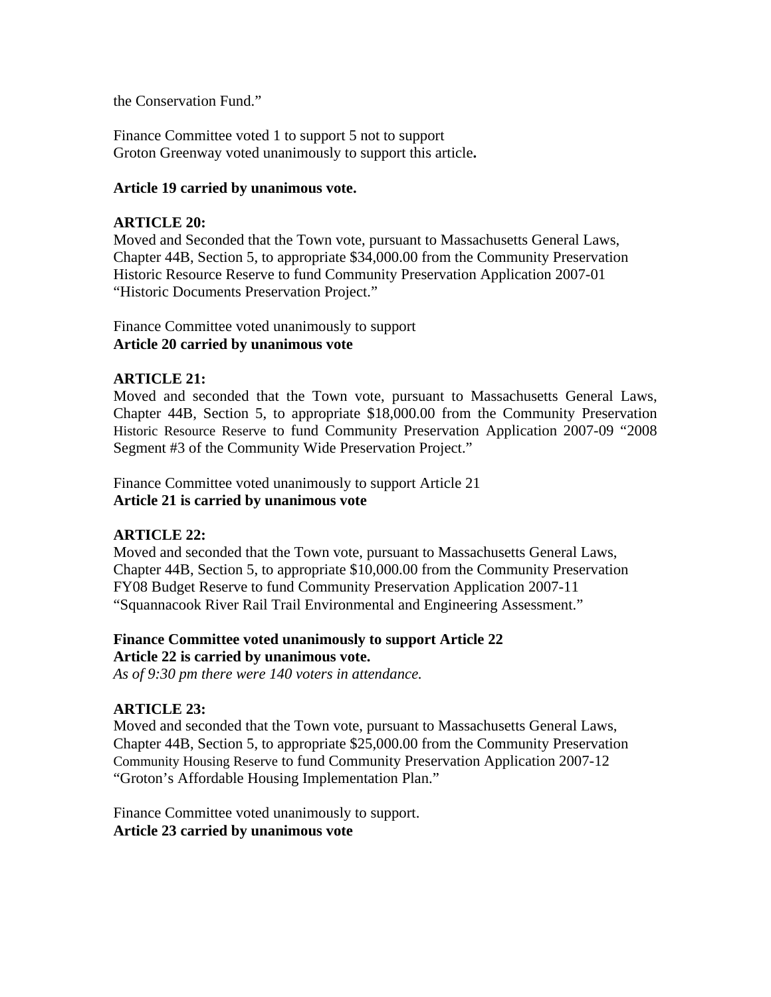the Conservation Fund."

Finance Committee voted 1 to support 5 not to support Groton Greenway voted unanimously to support this article**.**

#### **Article 19 carried by unanimous vote.**

### **ARTICLE 20:**

Moved and Seconded that the Town vote, pursuant to Massachusetts General Laws, Chapter 44B, Section 5, to appropriate \$34,000.00 from the Community Preservation Historic Resource Reserve to fund Community Preservation Application 2007-01 "Historic Documents Preservation Project."

Finance Committee voted unanimously to support **Article 20 carried by unanimous vote**

#### **ARTICLE 21:**

Moved and seconded that the Town vote, pursuant to Massachusetts General Laws, Chapter 44B, Section 5, to appropriate \$18,000.00 from the Community Preservation Historic Resource Reserve to fund Community Preservation Application 2007-09 "2008 Segment #3 of the Community Wide Preservation Project."

Finance Committee voted unanimously to support Article 21 **Article 21 is carried by unanimous vote**

### **ARTICLE 22:**

Moved and seconded that the Town vote, pursuant to Massachusetts General Laws, Chapter 44B, Section 5, to appropriate \$10,000.00 from the Community Preservation FY08 Budget Reserve to fund Community Preservation Application 2007-11 "Squannacook River Rail Trail Environmental and Engineering Assessment."

### **Finance Committee voted unanimously to support Article 22 Article 22 is carried by unanimous vote.**

*As of 9:30 pm there were 140 voters in attendance.*

#### **ARTICLE 23:**

Moved and seconded that the Town vote, pursuant to Massachusetts General Laws, Chapter 44B, Section 5, to appropriate \$25,000.00 from the Community Preservation Community Housing Reserve to fund Community Preservation Application 2007-12 "Groton's Affordable Housing Implementation Plan."

Finance Committee voted unanimously to support. **Article 23 carried by unanimous vote**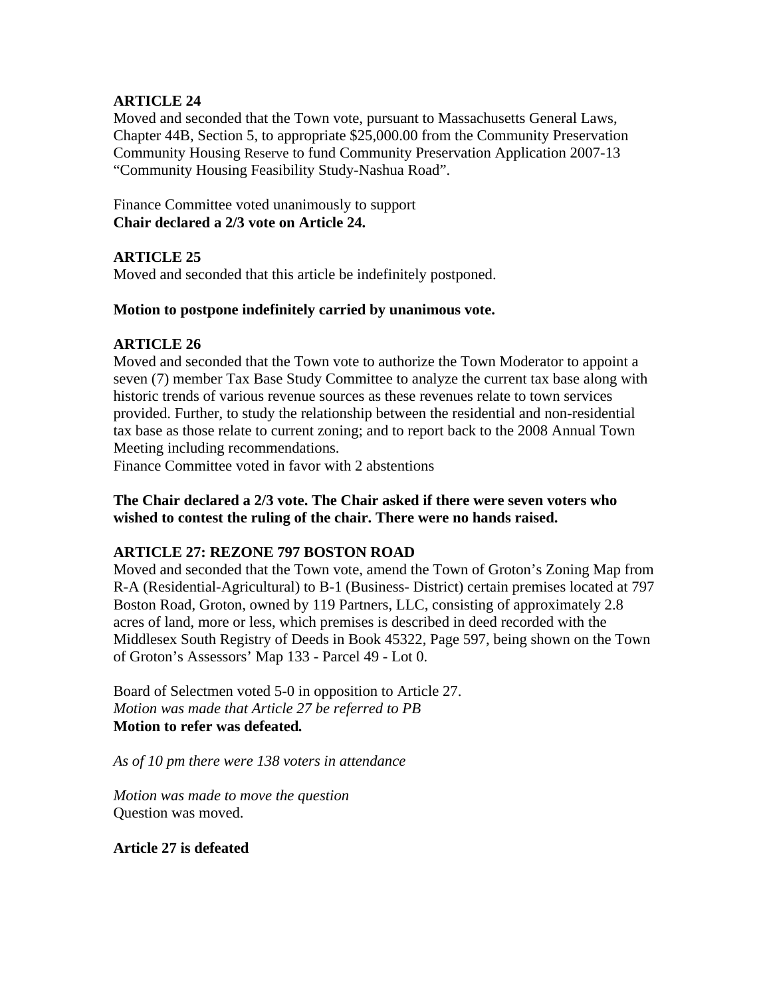# **ARTICLE 24**

Moved and seconded that the Town vote, pursuant to Massachusetts General Laws, Chapter 44B, Section 5, to appropriate \$25,000.00 from the Community Preservation Community Housing Reserve to fund Community Preservation Application 2007-13 "Community Housing Feasibility Study-Nashua Road".

Finance Committee voted unanimously to support **Chair declared a 2/3 vote on Article 24.**

# **ARTICLE 25**

Moved and seconded that this article be indefinitely postponed.

### **Motion to postpone indefinitely carried by unanimous vote.**

### **ARTICLE 26**

Moved and seconded that the Town vote to authorize the Town Moderator to appoint a seven (7) member Tax Base Study Committee to analyze the current tax base along with historic trends of various revenue sources as these revenues relate to town services provided. Further, to study the relationship between the residential and non-residential tax base as those relate to current zoning; and to report back to the 2008 Annual Town Meeting including recommendations.

Finance Committee voted in favor with 2 abstentions

### **The Chair declared a 2/3 vote. The Chair asked if there were seven voters who wished to contest the ruling of the chair. There were no hands raised.**

### **ARTICLE 27: REZONE 797 BOSTON ROAD**

Moved and seconded that the Town vote, amend the Town of Groton's Zoning Map from R-A (Residential-Agricultural) to B-1 (Business- District) certain premises located at 797 Boston Road, Groton, owned by 119 Partners, LLC, consisting of approximately 2.8 acres of land, more or less, which premises is described in deed recorded with the Middlesex South Registry of Deeds in Book 45322, Page 597, being shown on the Town of Groton's Assessors' Map 133 - Parcel 49 - Lot 0.

Board of Selectmen voted 5-0 in opposition to Article 27. *Motion was made that Article 27 be referred to PB* **Motion to refer was defeated***.*

*As of 10 pm there were 138 voters in attendance*

*Motion was made to move the question* Question was moved.

**Article 27 is defeated**